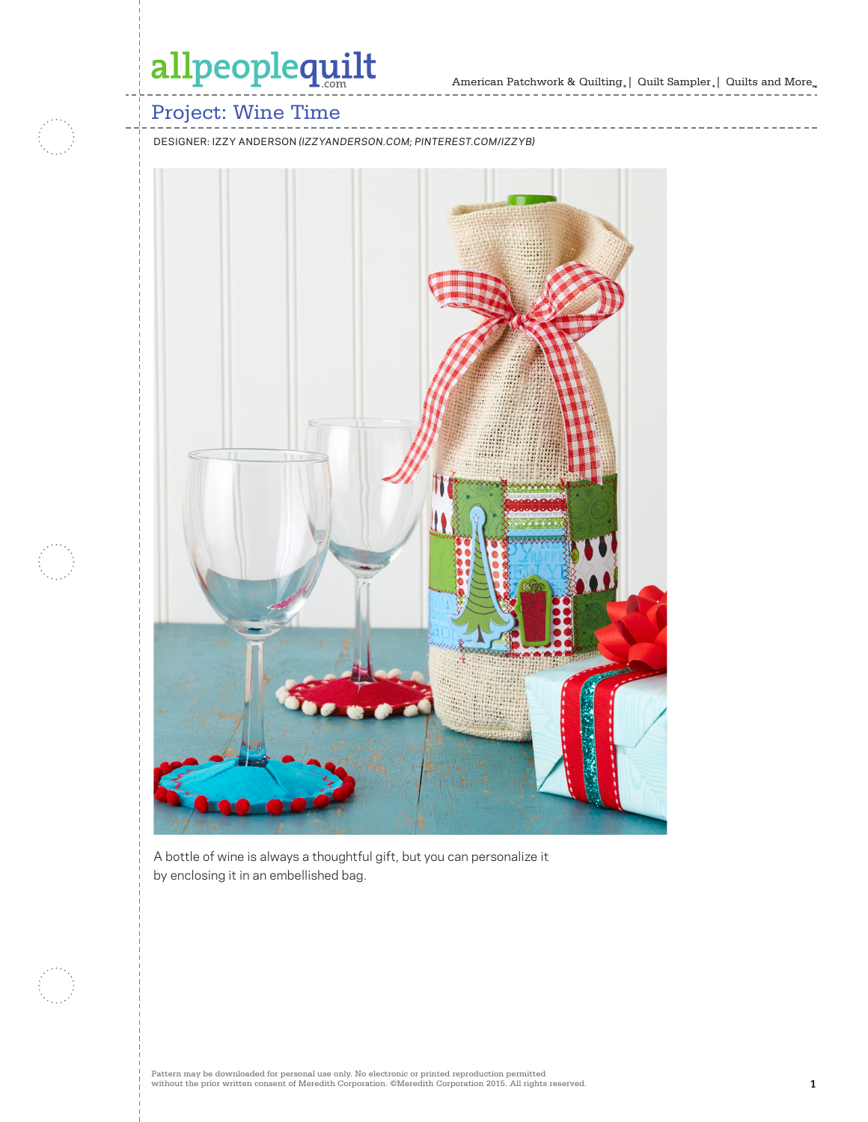# allpeoplequilt

## Project: Wine Time

DESIGNER: IZZY ANDERSON *(IZZYANDERSON.COM; PINTEREST.COM/IZZYB)*



A bottle of wine is always a thoughtful gift, but you can personalize it by enclosing it in an embellished bag.